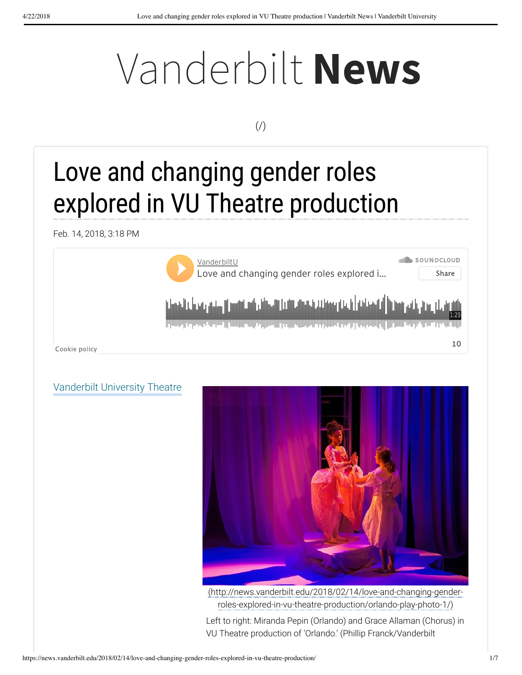# Vanderbilt **News**

#### $($  $/$  $)$

## Love and changing gender roles explored in VU Theatre production

Feb. 14, 2018, 3:18 PM



#### Vanderbilt University Theatre



(http://news.vanderbilt.edu/2018/02/14/love-and-changing-genderroles-explored-in-vu-theatre-production/orlando-play-photo-1/)

Left to right: Miranda Pepin (Orlando) and Grace Allaman (Chorus) in VU Theatre production of 'Orlando.' (Phillip Franck/Vanderbilt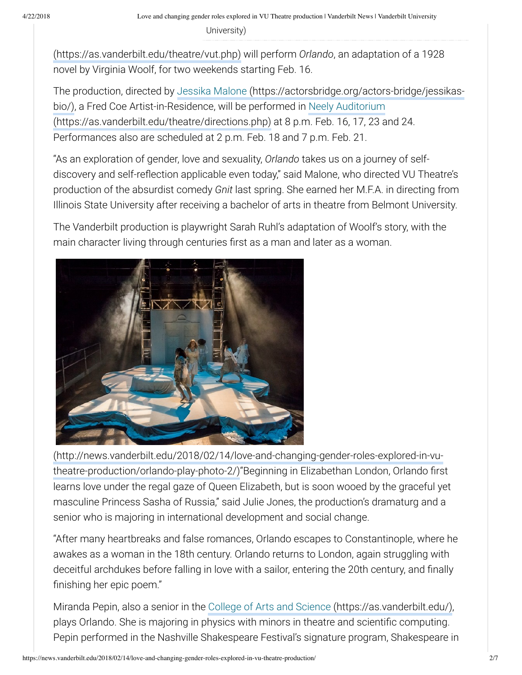(https://as.vanderbilt.edu/theatre/vut.php) will perform *Orlando*, an adaptation of a 1928 novel by Virginia Woolf, for two weekends starting Feb. 16.

The production, directed by Jessika Malone (https://actorsbridge.org/actors-bridge/jessikasbio/), a Fred Coe Artist-in-Residence, will be performed in Neely Auditorium (https://as.vanderbilt.edu/theatre/directions.php) at 8 p.m. Feb. 16, 17, 23 and 24. Performances also are scheduled at 2 p.m. Feb. 18 and 7 p.m. Feb. 21.

"As an exploration of gender, love and sexuality, *Orlando* takes us on a journey of selfdiscovery and self-reflection applicable even today," said Malone, who directed VU Theatre's production of the absurdist comedy *Gnit* last spring. She earned her M.F.A. in directing from Illinois State University after receiving a bachelor of arts in theatre from Belmont University.

The Vanderbilt production is playwright Sarah Ruhl's adaptation of Woolf's story, with the main character living through centuries first as a man and later as a woman.



(http://news.vanderbilt.edu/2018/02/14/love-and-changing-gender-roles-explored-in-vutheatre-production/orlando-play-photo-2/)"Beginning in Elizabethan London, Orlando first learns love under the regal gaze of Queen Elizabeth, but is soon wooed by the graceful yet masculine Princess Sasha of Russia," said Julie Jones, the production's dramaturg and a senior who is majoring in international development and social change.

"After many heartbreaks and false romances, Orlando escapes to Constantinople, where he awakes as a woman in the 18th century. Orlando returns to London, again struggling with deceitful archdukes before falling in love with a sailor, entering the 20th century, and finally finishing her epic poem."

Miranda Pepin, also a senior in the College of Arts and Science (https://as.vanderbilt.edu/), plays Orlando. She is majoring in physics with minors in theatre and scientific computing. Pepin performed in the Nashville Shakespeare Festival's signature program, Shakespeare in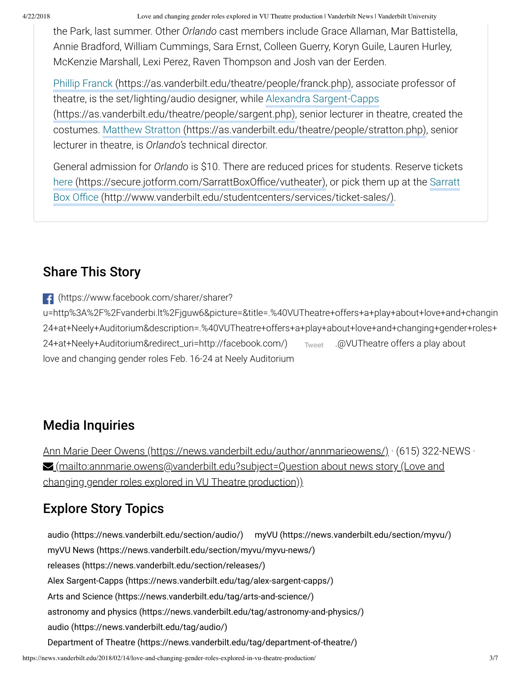4/22/2018 Love and changing gender roles explored in VU Theatre production | Vanderbilt News | Vanderbilt University

the Park, last summer. Other *Orlando* cast members include Grace Allaman, Mar Battistella, Annie Bradford, William Cummings, Sara Ernst, Colleen Guerry, Koryn Guile, Lauren Hurley, McKenzie Marshall, Lexi Perez, Raven Thompson and Josh van der Eerden.

Phillip Franck (https://as.vanderbilt.edu/theatre/people/franck.php), associate professor of theatre, is the set/lighting/audio designer, while Alexandra Sargent-Capps (https://as.vanderbilt.edu/theatre/people/sargent.php), senior lecturer in theatre, created the costumes. Matthew Stratton (https://as.vanderbilt.edu/theatre/people/stratton.php), senior lecturer in theatre, is *Orlando's* technical director.

General admission for *Orlando* is \$10. There are reduced prices for students. Reserve tickets here (https://secure.jotform.com/SarrattBoxOffice/vutheater), or pick them up at the Sarratt Box Office (http://www.vanderbilt.edu/studentcenters/services/ticket-sales/).

#### Share This Story

(https://www.facebook.com/sharer/sharer?

u=http%3A%2F%2Fvanderbi.lt%2Fjguw6&picture=&title=.%40VUTheatre+offers+a+play+about+love+and+changin 24+at+Neely+Auditorium&description=.%40VUTheatre+offers+a+play+about+love+and+changing+gender+roles+ 24+at+Neely+Auditorium&redirect\_uri=http://facebook.com/) Tweet .@VUTheatre offers a play about love and changing gender roles Feb. 16-24 at Neely Auditorium

#### Media Inquiries

Ann Marie Deer Owens (https://news.vanderbilt.edu/author/annmarieowens/) · (615) 322-NEWS · **<u>■ (mailto:annmarie.owens@vanderbilt.edu?subject=Question about news story (Love and</u>** changing gender roles explored in VU Theatre production))

#### Explore Story Topics

audio (https://news.vanderbilt.edu/section/audio/) myVU (https://news.vanderbilt.edu/section/myvu/) myVU News (https://news.vanderbilt.edu/section/myvu/myvu-news/) releases (https://news.vanderbilt.edu/section/releases/) Alex Sargent-Capps (https://news.vanderbilt.edu/tag/alex-sargent-capps/) Arts and Science (https://news.vanderbilt.edu/tag/arts-and-science/) astronomy and physics (https://news.vanderbilt.edu/tag/astronomy-and-physics/) audio (https://news.vanderbilt.edu/tag/audio/) Department of Theatre (https://news.vanderbilt.edu/tag/department-of-theatre/)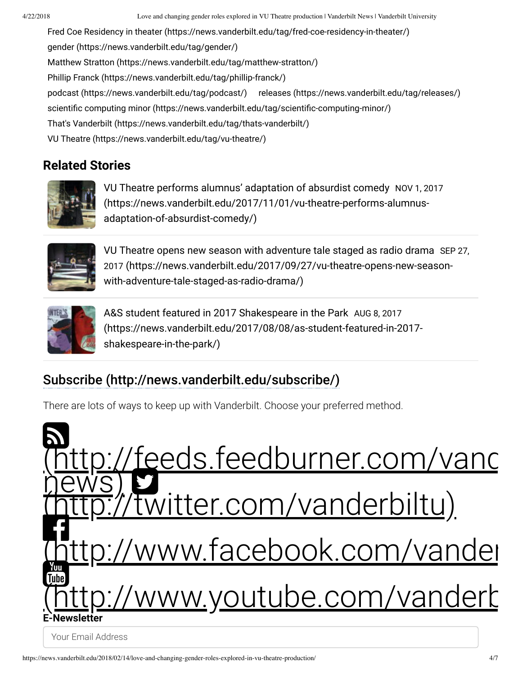4/22/2018 Love and changing gender roles explored in VU Theatre production | Vanderbilt News | Vanderbilt University

Fred Coe Residency in theater (https://news.vanderbilt.edu/tag/fred-coe-residency-in-theater/) gender (https://news.vanderbilt.edu/tag/gender/) Matthew Stratton (https://news.vanderbilt.edu/tag/matthew-stratton/) Phillip Franck (https://news.vanderbilt.edu/tag/phillip-franck/) podcast (https://news.vanderbilt.edu/tag/podcast/) releases (https://news.vanderbilt.edu/tag/releases/) scientific computing minor (https://news.vanderbilt.edu/tag/scientific-computing-minor/) That's Vanderbilt (https://news.vanderbilt.edu/tag/thats-vanderbilt/) VU Theatre (https://news.vanderbilt.edu/tag/vu-theatre/)

#### **Related Stories**



VU Theatre performs alumnus' adaptation of absurdist comedy NOV 1, 2017 (https://news.vanderbilt.edu/2017/11/01/vu-theatre-performs-alumnusadaptation-of-absurdist-comedy/)



VU Theatre opens new season with adventure tale staged as radio drama SEP 27, 2017 (https://news.vanderbilt.edu/2017/09/27/vu-theatre-opens-new-seasonwith-adventure-tale-staged-as-radio-drama/)



A&S student featured in 2017 Shakespeare in the Park AUG 8, 2017 (https://news.vanderbilt.edu/2017/08/08/as-student-featured-in-2017 shakespeare-in-the-park/)

#### Subscribe (http://news.vanderbilt.edu/subscribe/)

There are lots of ways to keep up with Vanderbilt. Choose your preferred method.

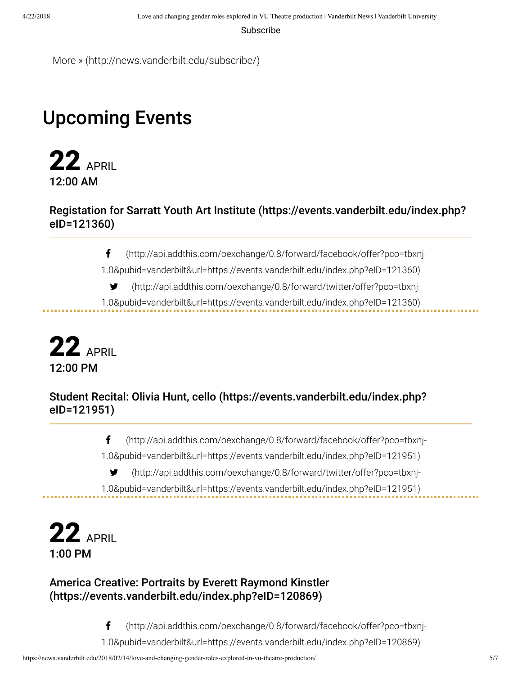Subscribe

More » (http://news.vanderbilt.edu/subscribe/)

### Upcoming Events

**22** APRIL 12:00 AM

#### Registation for Sarratt Youth Art Institute (https://events.vanderbilt.edu/index.php? eID=121360)

(http://api.addthis.com/oexchange/0.8/forward/facebook/offer?pco=tbxnj-

1.0&pubid=vanderbilt&url=https://events.vanderbilt.edu/index.php?eID=121360)

- (http://api.addthis.com/oexchange/0.8/forward/twitter/offer?pco=tbxnj-
- 1.0&pubid=vanderbilt&url=https://events.vanderbilt.edu/index.php?eID=121360)



#### Student Recital: Olivia Hunt, cello (https://events.vanderbilt.edu/index.php? eID=121951)

(http://api.addthis.com/oexchange/0.8/forward/facebook/offer?pco=tbxnj-

1.0&pubid=vanderbilt&url=https://events.vanderbilt.edu/index.php?eID=121951)

(http://api.addthis.com/oexchange/0.8/forward/twitter/offer?pco=tbxnj-

1.0&pubid=vanderbilt&url=https://events.vanderbilt.edu/index.php?eID=121951)



. . . . . . . . . . . . . .

#### America Creative: Portraits by Everett Raymond Kinstler (https://events.vanderbilt.edu/index.php?eID=120869)

(http://api.addthis.com/oexchange/0.8/forward/facebook/offer?pco=tbxnj-

1.0&pubid=vanderbilt&url=https://events.vanderbilt.edu/index.php?eID=120869)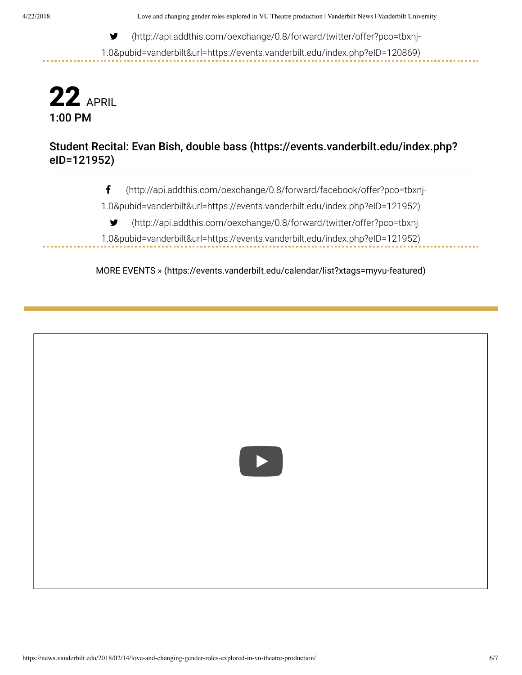(http://api.addthis.com/oexchange/0.8/forward/twitter/offer?pco=tbxnj-

1.0&pubid=vanderbilt&url=https://events.vanderbilt.edu/index.php?eID=120869)



............

#### Student Recital: Evan Bish, double bass (https://events.vanderbilt.edu/index.php? eID=121952)

(http://api.addthis.com/oexchange/0.8/forward/facebook/offer?pco=tbxnj-

1.0&pubid=vanderbilt&url=https://events.vanderbilt.edu/index.php?eID=121952)

(http://api.addthis.com/oexchange/0.8/forward/twitter/offer?pco=tbxnj-

1.0&pubid=vanderbilt&url=https://events.vanderbilt.edu/index.php?eID=121952)-------------

MORE EVENTS » (https://events.vanderbilt.edu/calendar/list?xtags=myvu-featured)